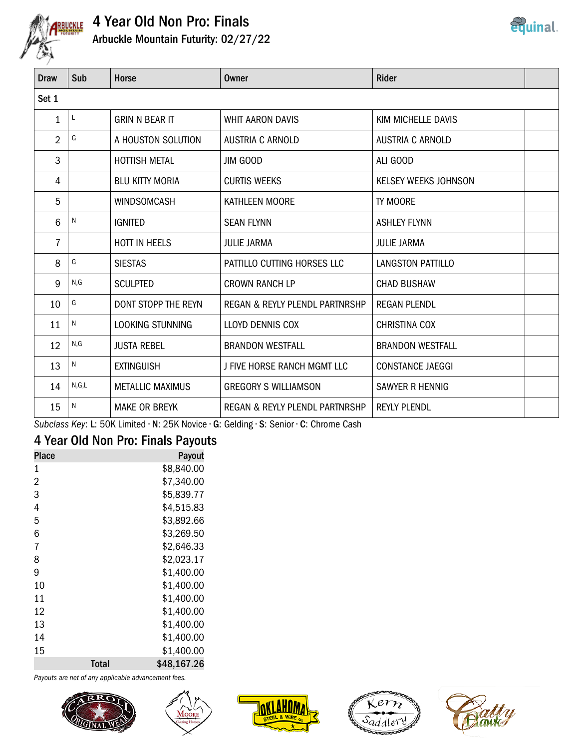

# **ARBUCKLE** 4 Year Old Non Pro: Finals



| Draw  | Sub     | <b>Horse</b>            | Owner                          | <b>Rider</b>            |  |
|-------|---------|-------------------------|--------------------------------|-------------------------|--|
| Set 1 |         |                         |                                |                         |  |
| 1     | L       | <b>GRIN N BEAR IT</b>   | <b>WHIT AARON DAVIS</b>        | KIM MICHELLE DAVIS      |  |
| 2     | G       | A HOUSTON SOLUTION      | AUSTRIA C ARNOLD               | <b>AUSTRIA C ARNOLD</b> |  |
| 3     |         | <b>HOTTISH METAL</b>    | <b>JIM GOOD</b>                | ALI GOOD                |  |
| 4     |         | <b>BLU KITTY MORIA</b>  | <b>CURTIS WEEKS</b>            | KELSEY WEEKS JOHNSON    |  |
| 5     |         | <b>WINDSOMCASH</b>      | KATHLEEN MOORE                 | TY MOORE                |  |
| 6     | N       | <b>IGNITED</b>          | <b>SEAN FLYNN</b>              | <b>ASHLEY FLYNN</b>     |  |
| 7     |         | HOTT IN HEELS           | JULIE JARMA                    | <b>JULIE JARMA</b>      |  |
| 8     | G       | <b>SIESTAS</b>          | PATTILLO CUTTING HORSES LLC    | LANGSTON PATTILLO       |  |
| 9     | N, G    | <b>SCULPTED</b>         | <b>CROWN RANCH LP</b>          | <b>CHAD BUSHAW</b>      |  |
| 10    | G       | DONT STOPP THE REYN     | REGAN & REYLY PLENDL PARTNRSHP | <b>REGAN PLENDL</b>     |  |
| 11    | N       | LOOKING STUNNING        | <b>LLOYD DENNIS COX</b>        | <b>CHRISTINA COX</b>    |  |
| 12    | N,G     | <b>JUSTA REBEL</b>      | <b>BRANDON WESTFALL</b>        | <b>BRANDON WESTFALL</b> |  |
| 13    | N       | <b>EXTINGUISH</b>       | J FIVE HORSE RANCH MGMT LLC    | <b>CONSTANCE JAEGGI</b> |  |
| 14    | N, G, L | <b>METALLIC MAXIMUS</b> | <b>GREGORY S WILLIAMSON</b>    | SAWYER R HENNIG         |  |
| 15    | N       | <b>MAKE OR BREYK</b>    | REGAN & REYLY PLENDL PARTNRSHP | <b>REYLY PLENDL</b>     |  |

Subclass Key: L: 50K Limited · N: 25K Novice · G: Gelding · S: Senior · C: Chrome Cash

# 4 Year Old Non Pro: Finals Payouts

| Place          |       | Payout      |
|----------------|-------|-------------|
| 1              |       | \$8,840.00  |
| $\overline{2}$ |       | \$7,340.00  |
| 3              |       | \$5,839.77  |
| 4              |       | \$4,515.83  |
| 5              |       | \$3,892.66  |
| 6              |       | \$3,269.50  |
| 7              |       | \$2,646.33  |
| 8              |       | \$2,023.17  |
| 9              |       | \$1,400.00  |
| 10             |       | \$1,400.00  |
| 11             |       | \$1,400.00  |
| 12             |       | \$1,400.00  |
| 13             |       | \$1,400.00  |
| 14             |       | \$1,400.00  |
| 15             |       | \$1,400.00  |
|                | Total | \$48,167.26 |

Payouts are net of any applicable advancement fees.